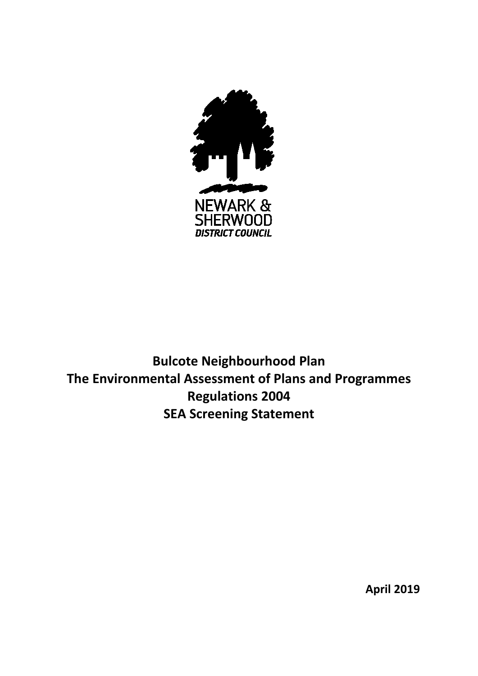

**Bulcote Neighbourhood Plan The Environmental Assessment of Plans and Programmes Regulations 2004 SEA Screening Statement**

**April 2019**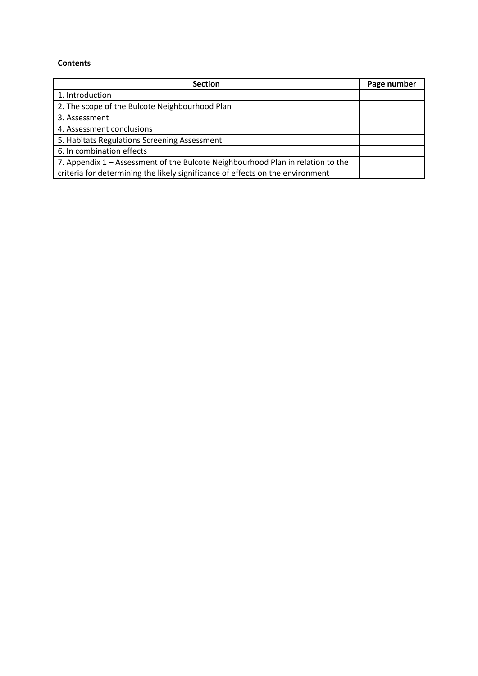#### **Contents**

| <b>Section</b>                                                                  | Page number |
|---------------------------------------------------------------------------------|-------------|
| 1. Introduction                                                                 |             |
| 2. The scope of the Bulcote Neighbourhood Plan                                  |             |
| 3. Assessment                                                                   |             |
| 4. Assessment conclusions                                                       |             |
| 5. Habitats Regulations Screening Assessment                                    |             |
| 6. In combination effects                                                       |             |
| 7. Appendix 1 – Assessment of the Bulcote Neighbourhood Plan in relation to the |             |
| criteria for determining the likely significance of effects on the environment  |             |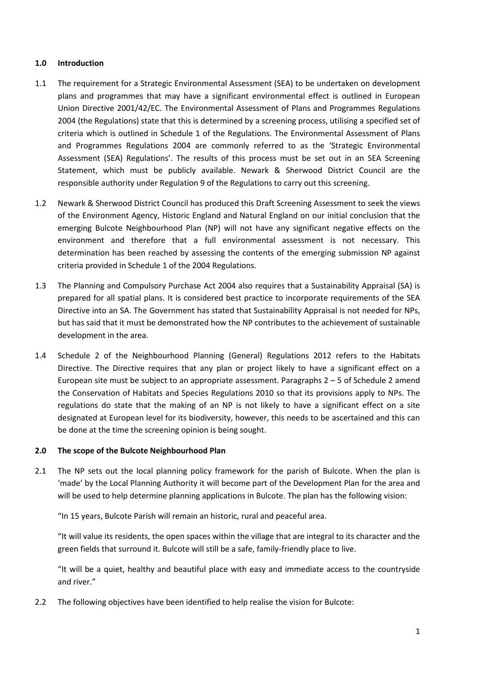## **1.0 Introduction**

- 1.1 The requirement for a Strategic Environmental Assessment (SEA) to be undertaken on development plans and programmes that may have a significant environmental effect is outlined in European Union Directive 2001/42/EC. The Environmental Assessment of Plans and Programmes Regulations 2004 (the Regulations) state that this is determined by a screening process, utilising a specified set of criteria which is outlined in Schedule 1 of the Regulations. The Environmental Assessment of Plans and Programmes Regulations 2004 are commonly referred to as the 'Strategic Environmental Assessment (SEA) Regulations'. The results of this process must be set out in an SEA Screening Statement, which must be publicly available. Newark & Sherwood District Council are the responsible authority under Regulation 9 of the Regulations to carry out this screening.
- 1.2 Newark & Sherwood District Council has produced this Draft Screening Assessment to seek the views of the Environment Agency, Historic England and Natural England on our initial conclusion that the emerging Bulcote Neighbourhood Plan (NP) will not have any significant negative effects on the environment and therefore that a full environmental assessment is not necessary. This determination has been reached by assessing the contents of the emerging submission NP against criteria provided in Schedule 1 of the 2004 Regulations.
- 1.3 The Planning and Compulsory Purchase Act 2004 also requires that a Sustainability Appraisal (SA) is prepared for all spatial plans. It is considered best practice to incorporate requirements of the SEA Directive into an SA. The Government has stated that Sustainability Appraisal is not needed for NPs, but has said that it must be demonstrated how the NP contributes to the achievement of sustainable development in the area.
- 1.4 Schedule 2 of the Neighbourhood Planning (General) Regulations 2012 refers to the Habitats Directive. The Directive requires that any plan or project likely to have a significant effect on a European site must be subject to an appropriate assessment. Paragraphs  $2 - 5$  of Schedule 2 amend the Conservation of Habitats and Species Regulations 2010 so that its provisions apply to NPs. The regulations do state that the making of an NP is not likely to have a significant effect on a site designated at European level for its biodiversity, however, this needs to be ascertained and this can be done at the time the screening opinion is being sought.

# **2.0 The scope of the Bulcote Neighbourhood Plan**

2.1 The NP sets out the local planning policy framework for the parish of Bulcote. When the plan is 'made' by the Local Planning Authority it will become part of the Development Plan for the area and will be used to help determine planning applications in Bulcote. The plan has the following vision:

"In 15 years, Bulcote Parish will remain an historic, rural and peaceful area.

"It will value its residents, the open spaces within the village that are integral to its character and the green fields that surround it. Bulcote will still be a safe, family-friendly place to live.

"It will be a quiet, healthy and beautiful place with easy and immediate access to the countryside and river."

2.2 The following objectives have been identified to help realise the vision for Bulcote: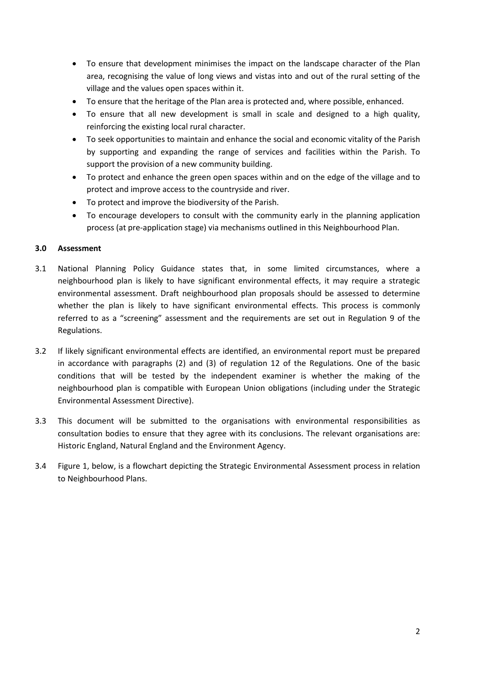- To ensure that development minimises the impact on the landscape character of the Plan area, recognising the value of long views and vistas into and out of the rural setting of the village and the values open spaces within it.
- To ensure that the heritage of the Plan area is protected and, where possible, enhanced.
- To ensure that all new development is small in scale and designed to a high quality, reinforcing the existing local rural character.
- To seek opportunities to maintain and enhance the social and economic vitality of the Parish by supporting and expanding the range of services and facilities within the Parish. To support the provision of a new community building.
- To protect and enhance the green open spaces within and on the edge of the village and to protect and improve access to the countryside and river.
- To protect and improve the biodiversity of the Parish.
- To encourage developers to consult with the community early in the planning application process (at pre-application stage) via mechanisms outlined in this Neighbourhood Plan.

# **3.0 Assessment**

- 3.1 National Planning Policy Guidance states that, in some limited circumstances, where a neighbourhood plan is likely to have significant environmental effects, it may require a strategic environmental assessment. Draft neighbourhood plan proposals should be assessed to determine whether the plan is likely to have significant environmental effects. This process is commonly referred to as a "screening" assessment and the requirements are set out in Regulation 9 of the Regulations.
- 3.2 If likely significant environmental effects are identified, an environmental report must be prepared in accordance with paragraphs (2) and (3) of regulation 12 of the Regulations. One of the basic conditions that will be tested by the independent examiner is whether the making of the neighbourhood plan is compatible with European Union obligations (including under the Strategic Environmental Assessment Directive).
- 3.3 This document will be submitted to the organisations with environmental responsibilities as consultation bodies to ensure that they agree with its conclusions. The relevant organisations are: Historic England, Natural England and the Environment Agency.
- 3.4 Figure 1, below, is a flowchart depicting the Strategic Environmental Assessment process in relation to Neighbourhood Plans.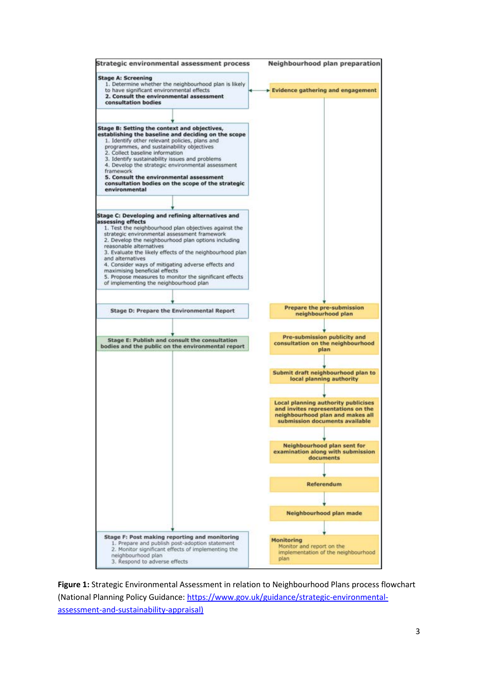

**Figure 1:** Strategic Environmental Assessment in relation to Neighbourhood Plans process flowchart (National Planning Policy Guidance: [https://www.gov.uk/guidance/strategic-environmental](https://www.gov.uk/guidance/strategic-environmental-assessment-and-sustainability-appraisal))[assessment-and-sustainability-appraisal\)](https://www.gov.uk/guidance/strategic-environmental-assessment-and-sustainability-appraisal))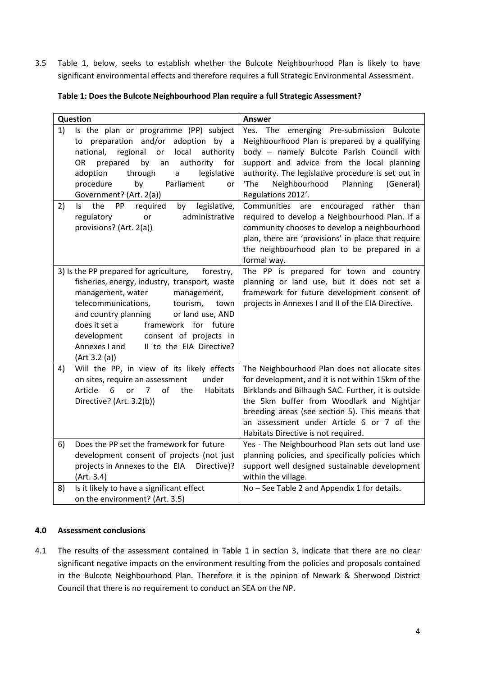3.5 Table 1, below, seeks to establish whether the Bulcote Neighbourhood Plan is likely to have significant environmental effects and therefore requires a full Strategic Environmental Assessment.

| Table 1: Does the Bulcote Neighbourhood Plan require a full Strategic Assessment? |  |
|-----------------------------------------------------------------------------------|--|
|                                                                                   |  |

| Question                                                                                                                                                                                                                                                                                                                                                                        | <b>Answer</b>                                                                                                                                                                                                                                                                                                                                 |
|---------------------------------------------------------------------------------------------------------------------------------------------------------------------------------------------------------------------------------------------------------------------------------------------------------------------------------------------------------------------------------|-----------------------------------------------------------------------------------------------------------------------------------------------------------------------------------------------------------------------------------------------------------------------------------------------------------------------------------------------|
| 1)<br>Is the plan or programme (PP) subject<br>to preparation and/or adoption by a<br>regional<br>local<br>authority<br>national,<br>or<br>by<br>authority<br><b>OR</b><br>prepared<br>for<br>an<br>adoption<br>through<br>legislative<br>a<br>procedure<br>Parliament<br>by<br><b>or</b><br>Government? (Art. 2(a))                                                            | Yes. The emerging Pre-submission Bulcote<br>Neighbourhood Plan is prepared by a qualifying<br>body - namely Bulcote Parish Council with<br>support and advice from the local planning<br>authority. The legislative procedure is set out in<br>Neighbourhood<br>Planning<br>'The<br>(General)<br>Regulations 2012'.                           |
| legislative,<br>2)<br>the<br>PP<br>required<br>ls.<br>by<br>regulatory<br>administrative<br>or<br>provisions? (Art. 2(a))                                                                                                                                                                                                                                                       | Communities are encouraged rather than<br>required to develop a Neighbourhood Plan. If a<br>community chooses to develop a neighbourhood<br>plan, there are 'provisions' in place that require<br>the neighbourhood plan to be prepared in a<br>formal way.                                                                                   |
| 3) Is the PP prepared for agriculture,<br>forestry,<br>fisheries, energy, industry, transport, waste<br>management, water<br>management,<br>telecommunications,<br>tourism,<br>town<br>and country planning<br>or land use, AND<br>does it set a<br>framework for future<br>consent of projects in<br>development<br>Annexes I and<br>II to the EIA Directive?<br>(Art 3.2 (a)) | The PP is prepared for town and country<br>planning or land use, but it does not set a<br>framework for future development consent of<br>projects in Annexes I and II of the EIA Directive.                                                                                                                                                   |
| Will the PP, in view of its likely effects<br>4)<br>under<br>on sites, require an assessment<br>6<br>of<br>Habitats<br>Article<br>7<br>the<br><b>or</b><br>Directive? (Art. 3.2(b))                                                                                                                                                                                             | The Neighbourhood Plan does not allocate sites<br>for development, and it is not within 15km of the<br>Birklands and Bilhaugh SAC. Further, it is outside<br>the 5km buffer from Woodlark and Nightjar<br>breeding areas (see section 5). This means that<br>an assessment under Article 6 or 7 of the<br>Habitats Directive is not required. |
| Does the PP set the framework for future<br>6)<br>development consent of projects (not just<br>projects in Annexes to the EIA<br>Directive)?<br>(Art. 3.4)                                                                                                                                                                                                                      | Yes - The Neighbourhood Plan sets out land use<br>planning policies, and specifically policies which<br>support well designed sustainable development<br>within the village.                                                                                                                                                                  |
| Is it likely to have a significant effect<br>8)<br>on the environment? (Art. 3.5)                                                                                                                                                                                                                                                                                               | No - See Table 2 and Appendix 1 for details.                                                                                                                                                                                                                                                                                                  |

#### **4.0 Assessment conclusions**

4.1 The results of the assessment contained in Table 1 in section 3, indicate that there are no clear significant negative impacts on the environment resulting from the policies and proposals contained in the Bulcote Neighbourhood Plan. Therefore it is the opinion of Newark & Sherwood District Council that there is no requirement to conduct an SEA on the NP.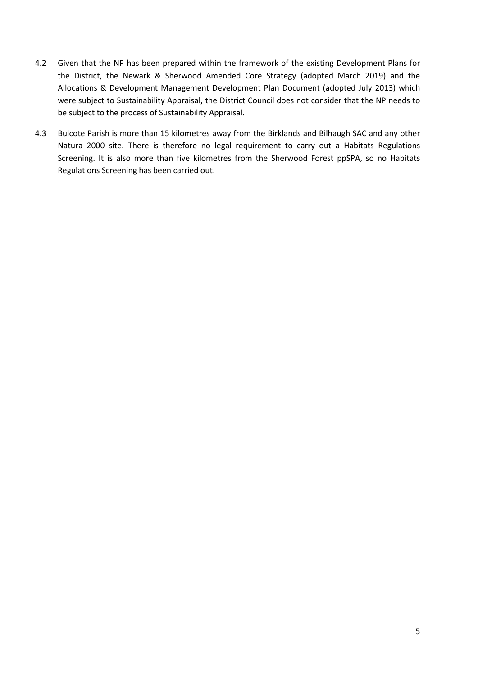- 4.2 Given that the NP has been prepared within the framework of the existing Development Plans for the District, the Newark & Sherwood Amended Core Strategy (adopted March 2019) and the Allocations & Development Management Development Plan Document (adopted July 2013) which were subject to Sustainability Appraisal, the District Council does not consider that the NP needs to be subject to the process of Sustainability Appraisal.
- 4.3 Bulcote Parish is more than 15 kilometres away from the Birklands and Bilhaugh SAC and any other Natura 2000 site. There is therefore no legal requirement to carry out a Habitats Regulations Screening. It is also more than five kilometres from the Sherwood Forest ppSPA, so no Habitats Regulations Screening has been carried out.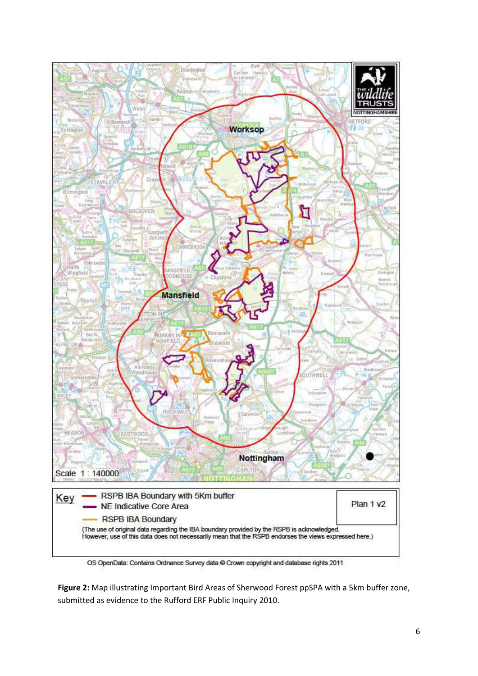

**Figure 2:** Map illustrating Important Bird Areas of Sherwood Forest ppSPA with a 5km buffer zone, submitted as evidence to the Rufford ERF Public Inquiry 2010.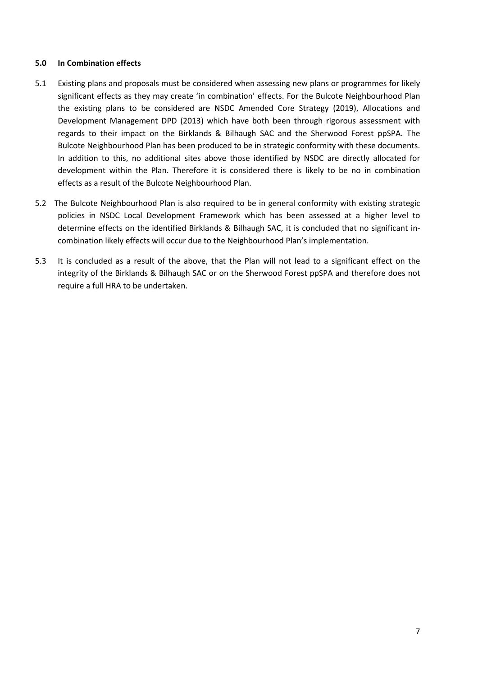## **5.0 In Combination effects**

- 5.1 Existing plans and proposals must be considered when assessing new plans or programmes for likely significant effects as they may create 'in combination' effects. For the Bulcote Neighbourhood Plan the existing plans to be considered are NSDC Amended Core Strategy (2019), Allocations and Development Management DPD (2013) which have both been through rigorous assessment with regards to their impact on the Birklands & Bilhaugh SAC and the Sherwood Forest ppSPA. The Bulcote Neighbourhood Plan has been produced to be in strategic conformity with these documents. In addition to this, no additional sites above those identified by NSDC are directly allocated for development within the Plan. Therefore it is considered there is likely to be no in combination effects as a result of the Bulcote Neighbourhood Plan.
- 5.2 The Bulcote Neighbourhood Plan is also required to be in general conformity with existing strategic policies in NSDC Local Development Framework which has been assessed at a higher level to determine effects on the identified Birklands & Bilhaugh SAC, it is concluded that no significant incombination likely effects will occur due to the Neighbourhood Plan's implementation.
- 5.3 It is concluded as a result of the above, that the Plan will not lead to a significant effect on the integrity of the Birklands & Bilhaugh SAC or on the Sherwood Forest ppSPA and therefore does not require a full HRA to be undertaken.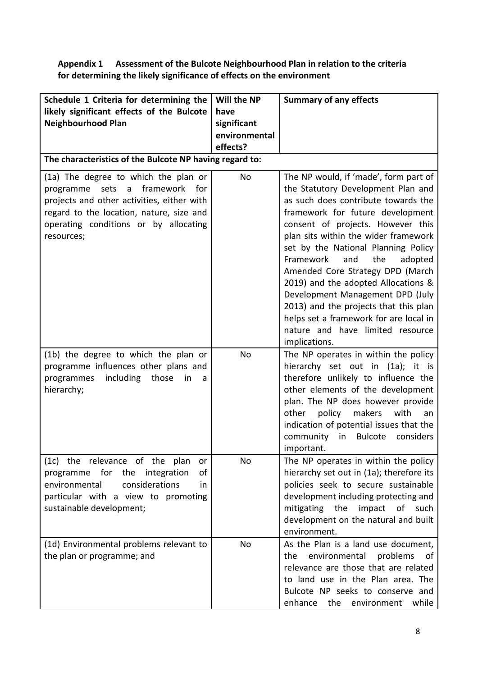# **Appendix 1 Assessment of the Bulcote Neighbourhood Plan in relation to the criteria for determining the likely significance of effects on the environment**

| Schedule 1 Criteria for determining the                                                                                                                                                                                             | Will the NP   | <b>Summary of any effects</b>                                                                                                                                                                                                                                                                                                                                                                                                                                                                                                                                           |
|-------------------------------------------------------------------------------------------------------------------------------------------------------------------------------------------------------------------------------------|---------------|-------------------------------------------------------------------------------------------------------------------------------------------------------------------------------------------------------------------------------------------------------------------------------------------------------------------------------------------------------------------------------------------------------------------------------------------------------------------------------------------------------------------------------------------------------------------------|
| likely significant effects of the Bulcote                                                                                                                                                                                           | have          |                                                                                                                                                                                                                                                                                                                                                                                                                                                                                                                                                                         |
| <b>Neighbourhood Plan</b>                                                                                                                                                                                                           | significant   |                                                                                                                                                                                                                                                                                                                                                                                                                                                                                                                                                                         |
|                                                                                                                                                                                                                                     | environmental |                                                                                                                                                                                                                                                                                                                                                                                                                                                                                                                                                                         |
|                                                                                                                                                                                                                                     | effects?      |                                                                                                                                                                                                                                                                                                                                                                                                                                                                                                                                                                         |
| The characteristics of the Bulcote NP having regard to:                                                                                                                                                                             |               |                                                                                                                                                                                                                                                                                                                                                                                                                                                                                                                                                                         |
| (1a) The degree to which the plan or<br>framework<br>for<br>programme<br>sets<br>a<br>projects and other activities, either with<br>regard to the location, nature, size and<br>operating conditions or by allocating<br>resources; | <b>No</b>     | The NP would, if 'made', form part of<br>the Statutory Development Plan and<br>as such does contribute towards the<br>framework for future development<br>consent of projects. However this<br>plan sits within the wider framework<br>set by the National Planning Policy<br>Framework<br>the<br>adopted<br>and<br>Amended Core Strategy DPD (March<br>2019) and the adopted Allocations &<br>Development Management DPD (July<br>2013) and the projects that this plan<br>helps set a framework for are local in<br>nature and have limited resource<br>implications. |
| (1b) the degree to which the plan or<br>programme influences other plans and<br>including<br>those<br>programmes<br>in<br>a<br>hierarchy;                                                                                           | No            | The NP operates in within the policy<br>hierarchy set out in (1a); it is<br>therefore unlikely to influence the<br>other elements of the development<br>plan. The NP does however provide<br>other<br>policy makers<br>with<br>an<br>indication of potential issues that the<br>community in<br>Bulcote<br>considers<br>important.                                                                                                                                                                                                                                      |
| (1c) the relevance of the plan<br>or<br>of<br>programme for the integration<br>environmental<br>considerations<br>in<br>particular with a view to promoting<br>sustainable development;                                             | No            | The NP operates in within the policy<br>hierarchy set out in (1a); therefore its<br>policies seek to secure sustainable<br>development including protecting and<br>mitigating the<br>impact of such<br>development on the natural and built<br>environment.                                                                                                                                                                                                                                                                                                             |
| (1d) Environmental problems relevant to<br>the plan or programme; and                                                                                                                                                               | No            | As the Plan is a land use document,<br>environmental<br>problems<br>the<br>0f<br>relevance are those that are related<br>to land use in the Plan area. The<br>Bulcote NP seeks to conserve and<br>enhance<br>the<br>environment<br>while                                                                                                                                                                                                                                                                                                                                |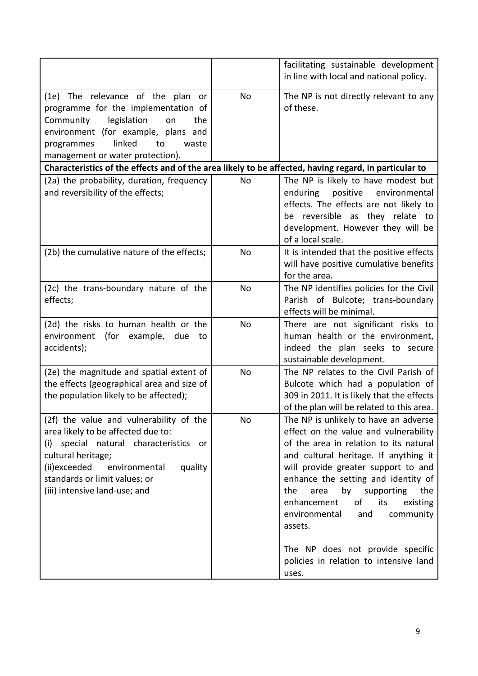|                                                                                                                                                                                                                                                                          |                | facilitating sustainable development<br>in line with local and national policy.                                                                                                                                                                                                                                                                                                                                                                                          |
|--------------------------------------------------------------------------------------------------------------------------------------------------------------------------------------------------------------------------------------------------------------------------|----------------|--------------------------------------------------------------------------------------------------------------------------------------------------------------------------------------------------------------------------------------------------------------------------------------------------------------------------------------------------------------------------------------------------------------------------------------------------------------------------|
| (1e) The relevance of the plan<br>or<br>programme for the implementation of<br>legislation<br>Community<br>on<br>the<br>environment (for example, plans and<br>linked<br>programmes<br>to<br>waste<br>management or water protection).                                   | No.            | The NP is not directly relevant to any<br>of these.                                                                                                                                                                                                                                                                                                                                                                                                                      |
| Characteristics of the effects and of the area likely to be affected, having regard, in particular to                                                                                                                                                                    |                |                                                                                                                                                                                                                                                                                                                                                                                                                                                                          |
| (2a) the probability, duration, frequency<br>and reversibility of the effects;                                                                                                                                                                                           | N <sub>o</sub> | The NP is likely to have modest but<br>positive<br>environmental<br>enduring<br>effects. The effects are not likely to<br>be reversible as they relate to<br>development. However they will be<br>of a local scale.                                                                                                                                                                                                                                                      |
| (2b) the cumulative nature of the effects;                                                                                                                                                                                                                               | <b>No</b>      | It is intended that the positive effects<br>will have positive cumulative benefits<br>for the area.                                                                                                                                                                                                                                                                                                                                                                      |
| (2c) the trans-boundary nature of the<br>effects;                                                                                                                                                                                                                        | No             | The NP identifies policies for the Civil<br>Parish of Bulcote; trans-boundary<br>effects will be minimal.                                                                                                                                                                                                                                                                                                                                                                |
| (2d) the risks to human health or the<br>environment<br>(for<br>example,<br>due<br>to<br>accidents);                                                                                                                                                                     | No             | There are not significant risks to<br>human health or the environment,<br>indeed the plan seeks to secure<br>sustainable development.                                                                                                                                                                                                                                                                                                                                    |
| (2e) the magnitude and spatial extent of<br>the effects (geographical area and size of<br>the population likely to be affected);                                                                                                                                         | No             | The NP relates to the Civil Parish of<br>Bulcote which had a population of<br>309 in 2011. It is likely that the effects<br>of the plan will be related to this area.                                                                                                                                                                                                                                                                                                    |
| (2f) the value and vulnerability of the<br>area likely to be affected due to:<br>special natural characteristics<br>(i)<br><b>or</b><br>cultural heritage;<br>(ii)exceeded<br>quality<br>environmental<br>standards or limit values; or<br>(iii) intensive land-use; and | No             | The NP is unlikely to have an adverse<br>effect on the value and vulnerability<br>of the area in relation to its natural<br>and cultural heritage. If anything it<br>will provide greater support to and<br>enhance the setting and identity of<br>the<br>area<br>by<br>supporting<br>the<br>of<br>its<br>enhancement<br>existing<br>environmental<br>and<br>community<br>assets.<br>The NP does not provide specific<br>policies in relation to intensive land<br>uses. |